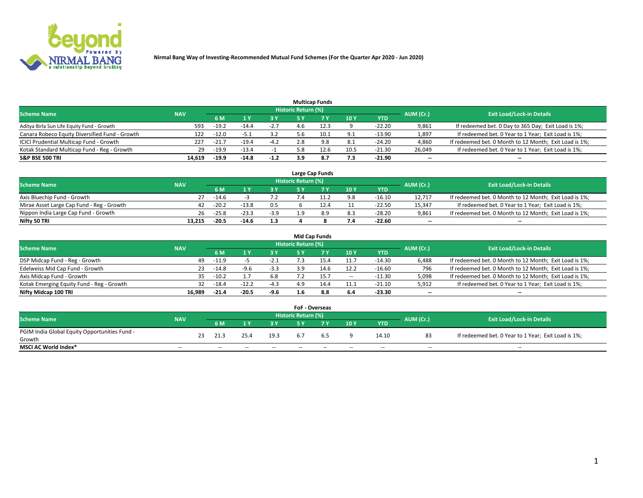

|                                                |            |         |         |        |                     | <b>Multicap Funds</b> |                 |          |                          |                                                        |
|------------------------------------------------|------------|---------|---------|--------|---------------------|-----------------------|-----------------|----------|--------------------------|--------------------------------------------------------|
| <b>Scheme Name</b>                             | <b>NAV</b> |         |         |        | Historic Return (%) |                       |                 |          | AUM (Cr.)                | <b>Exit Load/Lock-in Details</b>                       |
|                                                |            | 6 M     |         |        |                     |                       | 10 <sub>1</sub> | YTD      |                          |                                                        |
| Aditya Birla Sun Life Equity Fund - Growth     | 593        | $-19.2$ | $-14.4$ | $-2.7$ |                     | 12.3                  |                 | $-22.20$ | 9,861                    | If redeemed bet. 0 Day to 365 Day; Exit Load is 1%;    |
| Canara Robeco Equity Diversified Fund - Growth | 122        | $-12.0$ | -5.1    | 3.2    | 5.6                 | 10.1                  | 9.1             | $-13.90$ | 1,897                    | If redeemed bet. 0 Year to 1 Year; Exit Load is 1%;    |
| ICICI Prudential Multicap Fund - Growth        | 227        | $-21.7$ | $-19.4$ | $-4.2$ | 2.8                 | 9.8                   | 8.1             | $-24.20$ | 4,860                    | If redeemed bet. 0 Month to 12 Month; Exit Load is 1%; |
| Kotak Standard Multicap Fund - Reg - Growth    | 29         | $-19.9$ | $-13.4$ |        | 5.8                 | 12.6                  | 10.5            | $-21.30$ | 26,049                   | If redeemed bet. 0 Year to 1 Year; Exit Load is 1%;    |
| <b>S&amp;P BSE 500 TRI</b>                     | 14.619     | $-19.9$ | $-14.8$ | $-1.2$ | 3.9                 | 8.7                   | 7.3             | $-21.90$ | $\overline{\phantom{a}}$ | $\overline{\phantom{a}}$                               |

|                                           |            |         |         |        |                     | Large Cap Funds |     |          |                          |                                                        |
|-------------------------------------------|------------|---------|---------|--------|---------------------|-----------------|-----|----------|--------------------------|--------------------------------------------------------|
| <b>Scheme Name</b>                        | <b>NAV</b> |         |         |        | Historic Return (%) |                 |     |          | AUM (Cr.)                | <b>Exit Load/Lock-in Details</b>                       |
|                                           |            | 6 M     |         |        |                     |                 | 10Y | YTD      |                          |                                                        |
| Axis Bluechip Fund - Growth               | 27         | $-14.6$ |         |        |                     |                 | 9.8 | $-16.10$ | 12.717                   | If redeemed bet. 0 Month to 12 Month; Exit Load is 1%; |
| Mirae Asset Large Cap Fund - Reg - Growth | 42         | $-20.2$ | $-13.8$ | 0.5    |                     |                 |     | $-22.50$ | 15,347                   | If redeemed bet. 0 Year to 1 Year; Exit Load is 1%;    |
| Nippon India Large Cap Fund - Growth      | 26         | $-25.8$ | $-23.3$ | $-3.9$ |                     |                 | 8.3 | $-28.20$ | 9.861                    | If redeemed bet. 0 Month to 12 Month; Exit Load is 1%; |
| Nifty 50 TRI                              | 13.215     | $-20.5$ | $-14.6$ | 1.3    |                     |                 | 7.4 | $-22.60$ | $\overline{\phantom{a}}$ | $\overline{\phantom{a}}$                               |

|                                           |            |         |         |        |                     | <b>Mid Cap Funds</b> |        |            |           |                                                        |
|-------------------------------------------|------------|---------|---------|--------|---------------------|----------------------|--------|------------|-----------|--------------------------------------------------------|
| <b>Scheme Name</b>                        | <b>NAV</b> |         |         |        | Historic Return (%) |                      |        |            | AUM (Cr.) | <b>Exit Load/Lock-in Details</b>                       |
|                                           |            | 6 M     |         | 3 Y    |                     |                      | 10Y    | <b>YTD</b> |           |                                                        |
| DSP Midcap Fund - Reg - Growth            | 49         | $-11.9$ |         | $-2.1$ |                     |                      |        | $-14.30$   | 6,488     | If redeemed bet. 0 Month to 12 Month; Exit Load is 1%; |
| Edelweiss Mid Cap Fund - Growth           | 23         | $-14.8$ | $-9.6$  | $-3.3$ | 2 Q                 |                      | 12.2   | $-16.60$   | 796       | If redeemed bet. 0 Month to 12 Month; Exit Load is 1%; |
| Axis Midcap Fund - Growth                 | 35         | $-10.2$ |         | 6.8    |                     |                      | $\sim$ | $-11.30$   | 5,098     | If redeemed bet. 0 Month to 12 Month; Exit Load is 1%; |
| Kotak Emerging Equity Fund - Reg - Growth | 32         | $-18.4$ | $-12.2$ | $-4.3$ | 4.9                 |                      | 11.1   | $-21.10$   | 5,912     | If redeemed bet. 0 Year to 1 Year; Exit Load is 1%;    |
| Nifty Midcap 100 TRI                      | 16.989     | $-21.4$ | $-20.5$ | $-9.6$ | 1.6                 | 8.8                  | 6.4    | $-23.30$   | $- -$     | $\overline{\phantom{a}}$                               |

|                                               |            |    |                          |        |       | <b>FoF - Overseas</b>      |     |       |            |           |                                                     |
|-----------------------------------------------|------------|----|--------------------------|--------|-------|----------------------------|-----|-------|------------|-----------|-----------------------------------------------------|
| <b>Scheme Name</b>                            | <b>NAV</b> |    |                          |        |       | <b>Historic Return (%)</b> |     |       |            | AUM (Cr.) | <b>Exit Load/Lock-in Details</b>                    |
|                                               |            |    | <b>6M</b>                |        |       |                            |     | 10Y   | <b>YTD</b> |           |                                                     |
| PGIM India Global Equity Opportunities Fund - |            | 23 | 21.3                     | 25.4   | 19.3  | b.7                        |     |       | 14.10      | 83        | If redeemed bet. 0 Year to 1 Year; Exit Load is 1%; |
| Growth                                        |            |    |                          |        |       |                            | b.5 |       |            |           |                                                     |
| <b>MSCI AC World Index*</b>                   | $- -$      |    | $\overline{\phantom{a}}$ | $\sim$ | $- -$ | $\overline{\phantom{a}}$   | --  | $- -$ | $- -$      | $- -$     | $\overline{\phantom{a}}$                            |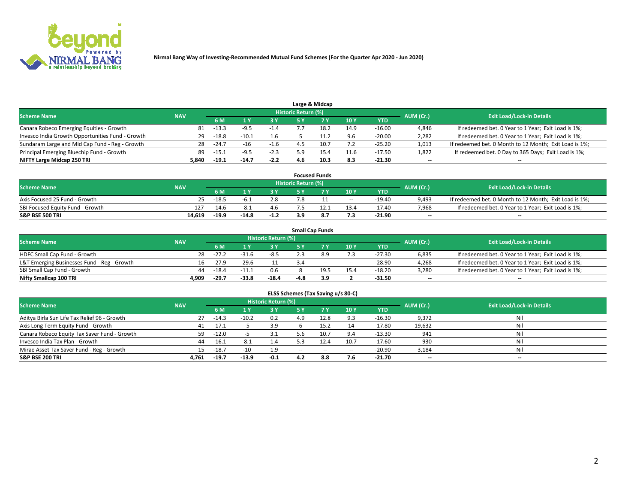

|                                                  |            |               |         |        |                     | Large & Midcap |      |            |           |                                                        |
|--------------------------------------------------|------------|---------------|---------|--------|---------------------|----------------|------|------------|-----------|--------------------------------------------------------|
| <b>Scheme Name</b>                               | <b>NAV</b> |               |         |        | Historic Return (%) |                |      |            | AUM (Cr.) | <b>Exit Load/Lock-in Details</b>                       |
|                                                  |            | 6 M           |         |        |                     |                | 10Y  | <b>YTD</b> |           |                                                        |
| Canara Robeco Emerging Equities - Growth         | 81         | $-13.3$       | -9.5    |        |                     | 18.2           | 14.9 | $-16.00$   | 4,846     | If redeemed bet. 0 Year to 1 Year; Exit Load is 1%;    |
| Invesco India Growth Opportunities Fund - Growth |            | $-18.8$<br>29 | $-10.1$ | 1.6    |                     |                | 9.6  | $-20.00$   | 2,282     | If redeemed bet. 0 Year to 1 Year; Exit Load is 1%;    |
| Sundaram Large and Mid Cap Fund - Reg - Growth   | 28         | $-24.7$       | $-16$   | -1.6   |                     | 10.7           | 7.2  | $-25.20$   | 1,013     | If redeemed bet. 0 Month to 12 Month; Exit Load is 1%; |
| Principal Emerging Bluechip Fund - Growth        | 89         | $-15.$        | $-9.5$  | $-2.3$ |                     |                | 11.6 | $-17.50$   | 1,822     | If redeemed bet. 0 Day to 365 Days; Exit Load is 1%;   |
| NIFTY Large Midcap 250 TRI                       | 5.840      | $-19.1$       | $-14.7$ | $-2.2$ | 4.6                 | 10.3           | 8.3  | $-21.30$   | $- -$     | $-$                                                    |

|                                  |            |         |         |        |                     | <b>Focused Funds</b> |                          |          |           |                                                        |
|----------------------------------|------------|---------|---------|--------|---------------------|----------------------|--------------------------|----------|-----------|--------------------------------------------------------|
| <b>Scheme Name</b>               | <b>NAV</b> |         |         |        | Historic Return (%) |                      |                          |          | AUM (Cr.) | <b>Exit Load/Lock-in Details</b>                       |
|                                  |            | 6 M     |         |        |                     |                      | 10Y                      | YTD      |           |                                                        |
| Axis Focused 25 Fund - Growth    | 25         | $-18.5$ |         | 2.8    |                     |                      | $\overline{\phantom{m}}$ | $-19.40$ | 9.493     | If redeemed bet. 0 Month to 12 Month; Exit Load is 1%; |
| SBI Focused Equity Fund - Growth | 127        | $-14.6$ | -8.1    | 4.6    |                     |                      | 13.4                     | $-17.40$ | 7,968     | If redeemed bet. 0 Year to 1 Year; Exit Load is 1%;    |
| <b>S&amp;P BSE 500 TRI</b>       | 14,619     | $-19.9$ | $-14.8$ | $-1.2$ |                     | 8.7                  | 7.3                      | $-21.90$ | $- -$     | $\overline{\phantom{a}}$                               |

|                                             |            |         |           |                                  |      | <b>Small Cap Funds</b> |       |            |       |                                                     |
|---------------------------------------------|------------|---------|-----------|----------------------------------|------|------------------------|-------|------------|-------|-----------------------------------------------------|
| <b>Scheme Name</b>                          | <b>NAV</b> |         | AUM (Cr.) | <b>Exit Load/Lock-in Details</b> |      |                        |       |            |       |                                                     |
|                                             |            | 6 M     |           | 3 Y                              |      |                        | 10Y   | <b>YTD</b> |       |                                                     |
| HDFC Small Cap Fund - Growth                | 28         | $-27.2$ | $-31.6$   | $-8.5$                           |      |                        | 7.3   | $-27.30$   | 6,835 | If redeemed bet. 0 Year to 1 Year; Exit Load is 1%; |
| L&T Emerging Businesses Fund - Reg - Growth | 16         | $-27.9$ | $-29.6$   | $-11$                            |      | $\sim$                 | $- -$ | $-28.90$   | 4,268 | If redeemed bet. 0 Year to 1 Year; Exit Load is 1%; |
| SBI Small Cap Fund - Growth                 | 44         | $-18.4$ | $-11.1$   | 0.6                              |      | 19.5                   | 15.4  | $-18.20$   | 3,280 | If redeemed bet. 0 Year to 1 Year; Exit Load is 1%; |
| Nifty Smallcap 100 TRI                      | 4.909      | $-29.7$ | $-33.8$   | $-18.4$                          | -4.8 | 3.9                    |       | -31.50     | $- -$ | $\overline{\phantom{a}}$                            |

| ELSS Schemes (Tax Saving u/s 80-C)           |            |         |         |                            |        |       |        |            |           |                                  |  |  |  |
|----------------------------------------------|------------|---------|---------|----------------------------|--------|-------|--------|------------|-----------|----------------------------------|--|--|--|
| <b>Scheme Name</b>                           | <b>NAV</b> |         |         | <b>Historic Return (%)</b> |        |       |        |            | AUM (Cr.) | <b>Exit Load/Lock-in Details</b> |  |  |  |
|                                              |            | 6 M     |         | 73 Y.                      | 5 Y    | - 7 Y | 10Y    | <b>YTD</b> |           |                                  |  |  |  |
| Aditya Birla Sun Life Tax Relief 96 - Growth | 27         | $-14.3$ | $-10.2$ | 0.2                        | 4.9    | 12.8  | 9.3    | $-16.30$   | 9,372     | Nil                              |  |  |  |
| Axis Long Term Equity Fund - Growth          | 41         | $-17.1$ |         | 3.9                        |        | 15.2  | 14     | $-17.80$   | 19,632    | Nil                              |  |  |  |
| Canara Robeco Equity Tax Saver Fund - Growth | 59.        | $-12.0$ |         | 3.1                        | 5.6    | 10.7  | 9.4    | $-13.30$   | 941       | Nil                              |  |  |  |
| Invesco India Tax Plan - Growth              | 44         | $-16.1$ | $-8.1$  | 1.4                        |        | 12.4  | 10.7   | $-17.60$   | 930       | Nil                              |  |  |  |
| Mirae Asset Tax Saver Fund - Reg - Growth    | 15         | $-18.7$ | $-10$   | 1.9                        | $\sim$ | $-$   | $\sim$ | $-20.90$   | 3,184     | Nil                              |  |  |  |
| <b>S&amp;P BSE 200 TRI</b>                   | 4.761      | $-19.7$ | $-13.9$ | $-0.1$                     | 4.2    | 8.8   | 7.6    | $-21.70$   | $- -$     | $-$                              |  |  |  |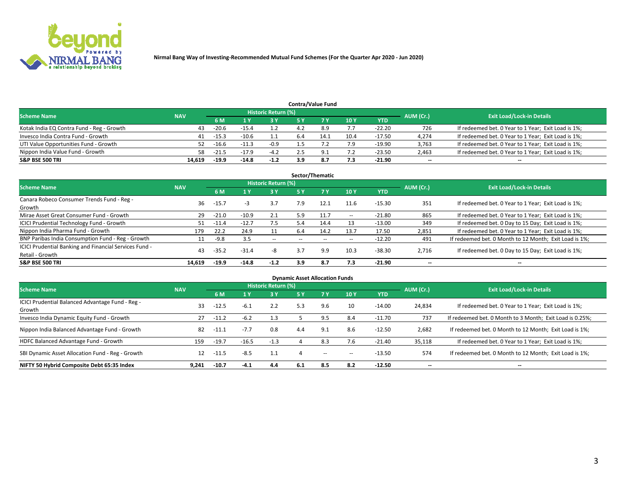

|                                           |            |                                  |         |        |     | <b>Contra/Value Fund</b> |      |            |       |                                                     |
|-------------------------------------------|------------|----------------------------------|---------|--------|-----|--------------------------|------|------------|-------|-----------------------------------------------------|
| <b>Scheme Name</b>                        | AUM (Cr.)  | <b>Exit Load/Lock-in Details</b> |         |        |     |                          |      |            |       |                                                     |
|                                           | <b>NAV</b> | 6 M                              |         | 2 V    |     |                          | 10Y  | <b>YTD</b> |       |                                                     |
| Kotak India EQ Contra Fund - Reg - Growth | 43         | $-20.6$                          | -15.4   |        |     |                          | 7.7  | $-22.20$   | 726   | If redeemed bet. 0 Year to 1 Year; Exit Load is 1%; |
| Invesco India Contra Fund - Growth        | 41         | $-15.3$                          | $-10.6$ |        |     | 14.1                     | 10.4 | $-17.50$   | 4,274 | If redeemed bet. 0 Year to 1 Year; Exit Load is 1%; |
| UTI Value Opportunities Fund - Growth     | 52         | $-16.6$                          | $-11.7$ | $-0.9$ |     |                          | 7.9  | $-19.90$   | 3,763 | If redeemed bet. 0 Year to 1 Year; Exit Load is 1%; |
| Nippon India Value Fund - Growth          | 58         | $-21.5$                          | $-17.9$ | $-4.2$ |     |                          | 7.2  | $-23.50$   | 2,463 | If redeemed bet. 0 Year to 1 Year; Exit Load is 1%; |
| <b>S&amp;P BSE 500 TRI</b>                | 14.619     | -19.9                            | $-14.8$ | $-1.2$ | 3.9 |                          | 7.3  | $-21.90$   | $- -$ | $-$                                                 |

|                                                                           |            |         |         |                            |     | Sector/Thematic |        |          |                          |                                                        |
|---------------------------------------------------------------------------|------------|---------|---------|----------------------------|-----|-----------------|--------|----------|--------------------------|--------------------------------------------------------|
| <b>Scheme Name</b>                                                        | <b>NAV</b> |         |         | <b>Historic Return (%)</b> |     |                 |        |          | AUM (Cr.)                | <b>Exit Load/Lock-in Details</b>                       |
|                                                                           |            | 6 M     |         | 3 Y                        | 5 Y |                 | 10Y    | YTD      |                          |                                                        |
| Canara Robeco Consumer Trends Fund - Reg -<br>Growth                      | 36         | $-15.7$ | - 3     | 3.7                        | 7.9 | 12.1            | 11.6   | $-15.30$ | 351                      | If redeemed bet. 0 Year to 1 Year; Exit Load is 1%;    |
| Mirae Asset Great Consumer Fund - Growth                                  | 29         | $-21.0$ | $-10.9$ | 2.1                        | 5.9 |                 | $\sim$ | $-21.80$ | 865                      | If redeemed bet. 0 Year to 1 Year; Exit Load is 1%;    |
| <b>ICICI Prudential Technology Fund - Growth</b>                          |            | $-11.4$ | $-12.7$ | 7.5                        | 5.4 | 14.4            | 13     | $-13.00$ | 349                      | If redeemed bet. 0 Day to 15 Day; Exit Load is 1%;     |
| Nippon India Pharma Fund - Growth                                         | 179        | 22.2    | 24.9    | 11                         | 6.4 | 14.2            | 13.7   | 17.50    | 2,851                    | If redeemed bet. 0 Year to 1 Year; Exit Load is 1%;    |
| BNP Paribas India Consumption Fund - Reg - Growth                         |            | $-9.8$  | 3.5     | $- -$                      |     |                 | $\sim$ | $-12.20$ | 491                      | If redeemed bet. 0 Month to 12 Month; Exit Load is 1%; |
| ICICI Prudential Banking and Financial Services Fund -<br>Retail - Growth | 43         | $-35.2$ | $-31.4$ | -8                         | 3.7 | 9.9             | 10.3   | $-38.30$ | 2,716                    | If redeemed bet. 0 Day to 15 Day; Exit Load is 1%;     |
| <b>S&amp;P BSE 500 TRI</b>                                                | 14.619     | $-19.9$ | $-14.8$ | $-1.2$                     | 3.9 | 8.7             | 7.3    | $-21.90$ | $\overline{\phantom{a}}$ | $\overline{\phantom{a}}$                               |

|                                                            |            |         |         |                            | <b>Dynamic Asset Allocation Funds</b> |     |        |            |           |                                                          |
|------------------------------------------------------------|------------|---------|---------|----------------------------|---------------------------------------|-----|--------|------------|-----------|----------------------------------------------------------|
| <b>Scheme Name</b>                                         | <b>NAV</b> |         |         | <b>Historic Return (%)</b> |                                       |     |        |            | AUM (Cr.) | <b>Exit Load/Lock-in Details</b>                         |
|                                                            |            | 6 M     |         | 3 Y                        | <b>5 Y</b>                            |     | 10Y    | <b>YTD</b> |           |                                                          |
| ICICI Prudential Balanced Advantage Fund - Reg -<br>Growth | 33         | $-12.5$ | $-6.1$  | 2.2                        | 5.3                                   | 9.6 | 10     | $-14.00$   | 24,834    | If redeemed bet. 0 Year to 1 Year; Exit Load is 1%;      |
| Invesco India Dynamic Equity Fund - Growth                 | 27         | $-11.2$ | $-6.2$  | 1.3                        |                                       | 9.5 | 8.4    | $-11.70$   | 737       | If redeemed bet. 0 Month to 3 Month; Exit Load is 0.25%; |
| Nippon India Balanced Advantage Fund - Growth              | 82         | $-11.1$ | $-7.7$  | 0.8                        | 4.4                                   | 9.1 | 8.6    | $-12.50$   | 2,682     | If redeemed bet. 0 Month to 12 Month; Exit Load is 1%;   |
| HDFC Balanced Advantage Fund - Growth                      | 159        | $-19.7$ | $-16.5$ | $-1.3$                     |                                       | 8.3 | 7.6    | $-21.40$   | 35,118    | If redeemed bet. 0 Year to 1 Year; Exit Load is 1%;      |
| SBI Dynamic Asset Allocation Fund - Reg - Growth           | 12         | $-11.5$ | $-8.5$  | 1.1                        |                                       | $-$ | $\sim$ | $-13.50$   | 574       | If redeemed bet. 0 Month to 12 Month; Exit Load is 1%;   |
| NIFTY 50 Hybrid Composite Debt 65:35 Index                 | 9.241      | $-10.7$ | $-4.1$  | 4.4                        | 6.1                                   | 8.5 | 8.2    | $-12.50$   |           | $\overline{\phantom{a}}$                                 |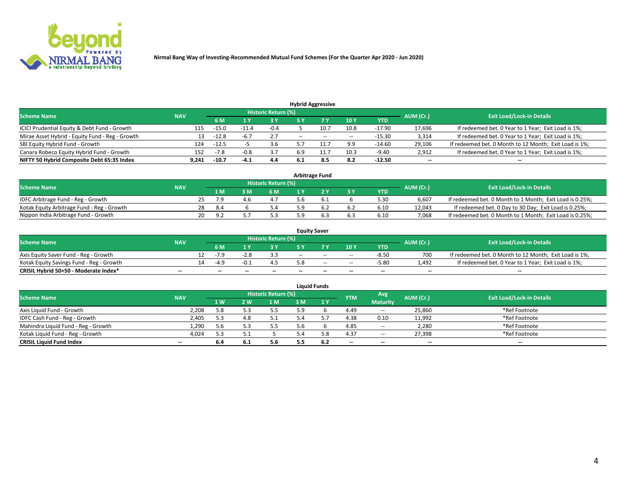

|                                                 |            |         |        |                     |                          | <b>Hybrid Aggressive</b> |       |          |           |                                                        |
|-------------------------------------------------|------------|---------|--------|---------------------|--------------------------|--------------------------|-------|----------|-----------|--------------------------------------------------------|
| <b>Scheme Name</b>                              | <b>NAV</b> |         |        | Historic Return (%) |                          |                          |       |          | AUM (Cr.) | <b>Exit Load/Lock-in Details</b>                       |
|                                                 |            | 6 M     |        | 3 Y                 |                          |                          | 10Y   | YTD      |           |                                                        |
| ICICI Prudential Equity & Debt Fund - Growth    | 115        | $-15.0$ |        | $-0.4$              |                          | 10.7                     | 10.8  | $-17.90$ | 17,696    | If redeemed bet. 0 Year to 1 Year; Exit Load is 1%;    |
| Mirae Asset Hybrid - Equity Fund - Reg - Growth | 13         | $-12.8$ | $-6.7$ | 2.7                 | $\overline{\phantom{a}}$ | $\sim$                   | $- -$ | $-15.30$ | 3,314     | If redeemed bet. 0 Year to 1 Year; Exit Load is 1%;    |
| SBI Equity Hybrid Fund - Growth                 | 124        | $-12.5$ |        | 3.6                 |                          |                          | 9.9   | $-14.60$ | 29,106    | If redeemed bet. 0 Month to 12 Month; Exit Load is 1%; |
| Canara Robeco Equity Hybrid Fund - Growth       | 152        | $-7.8$  |        | 3.7                 |                          |                          | 10.3  | $-9.40$  | 2,912     | If redeemed bet. 0 Year to 1 Year; Exit Load is 1%;    |
| NIFTY 50 Hybrid Composite Debt 65:35 Index      | 9,241      | $-10.7$ | $-4.1$ | 4.4                 | -6.1                     | 8.5                      | 8.2   | $-12.50$ | $- -$     | $\overline{\phantom{a}}$                               |

| <b>Arbitrage Fund</b>                      |            |    |      |     |                            |     |  |       |            |           |                                                          |  |  |
|--------------------------------------------|------------|----|------|-----|----------------------------|-----|--|-------|------------|-----------|----------------------------------------------------------|--|--|
| <b>Scheme Name</b>                         | <b>NAV</b> |    |      |     | <b>Historic Return (%)</b> |     |  |       |            | AUM (Cr.) | <b>Exit Load/Lock-in Details</b>                         |  |  |
|                                            |            |    | 1 M  | የ M | 6 M                        |     |  | $-3V$ | <b>YTD</b> |           |                                                          |  |  |
| IDFC Arbitrage Fund - Reg - Growth         |            |    |      | 4 h | 4.7                        | 5.b |  |       | 5.30       | 6.607     | If redeemed bet. 0 Month to 1 Month; Exit Load is 0.25%; |  |  |
| Kotak Equity Arbitrage Fund - Reg - Growth |            | 28 | -8.4 |     | 5.4                        |     |  |       | 6.10       | 12.043    | If redeemed bet. 0 Day to 30 Day; Exit Load is 0.25%;    |  |  |
| Nippon India Arbitrage Fund - Growth       |            | 20 | ΩÚ   |     |                            |     |  | 6.3   | 6.10       | 7.068     | If redeemed bet. 0 Month to 1 Month; Exit Load is 0.25%; |  |  |

| <b>Equity Saver</b>                      |            |    |                          |      |                            |       |        |                          |         |           |                                                        |  |  |
|------------------------------------------|------------|----|--------------------------|------|----------------------------|-------|--------|--------------------------|---------|-----------|--------------------------------------------------------|--|--|
| <b>Scheme Name</b>                       | <b>NAV</b> |    |                          |      | <b>Historic Return (%)</b> |       |        |                          |         | AUM (Cr.) | <b>Exit Load/Lock-in Details</b>                       |  |  |
|                                          |            |    |                          |      |                            |       |        | 10 <sub>Y</sub>          | YTD     |           |                                                        |  |  |
| Axis Equity Saver Fund - Reg - Growth    |            |    | -7 C                     | -2.8 | 3.3                        | $- -$ | $-$    | $\sim$                   | $-8.50$ | 700       | If redeemed bet. 0 Month to 12 Month; Exit Load is 1%; |  |  |
| Kotak Equity Savings Fund - Reg - Growth |            | 14 | -4.9                     |      |                            |       | $\sim$ | $\sim$                   | $-5.80$ | 1.492     | If redeemed bet. 0 Year to 1 Year; Exit Load is 1%;    |  |  |
| CRISIL Hybrid 50+50 - Moderate Index*    | $- -$      |    | $\overline{\phantom{a}}$ | --   | $- -$                      | --    | $- -$  | $\overline{\phantom{a}}$ | $-$     | $- -$     | $-$                                                    |  |  |

| <b>Liquid Funds</b>                 |            |     |     |                            |     |     |            |                          |           |                                  |  |  |  |
|-------------------------------------|------------|-----|-----|----------------------------|-----|-----|------------|--------------------------|-----------|----------------------------------|--|--|--|
| <b>Scheme Name</b>                  | <b>NAV</b> |     |     | <b>Historic Return (%)</b> |     |     | <b>YTM</b> | Avg                      | AUM (Cr.) | <b>Exit Load/Lock-in Details</b> |  |  |  |
|                                     |            | 1W  | 2 W | 1 M                        | 3 M | 1Y  |            | <b>Maturity</b>          |           |                                  |  |  |  |
| Axis Liquid Fund - Growth           | 2,208      | 5.8 |     | 5.5                        | 5.9 |     | 4.49       | $\overline{\phantom{a}}$ | 25,860    | *Ref Footnote                    |  |  |  |
| IDFC Cash Fund - Reg - Growth       | 2,405      | 5.3 | 4.8 | 5.1                        |     |     | 4.38       | 0.10                     | 11,992    | *Ref Footnote                    |  |  |  |
| Mahindra Liquid Fund - Reg - Growth | 1,290      | 5.6 |     | 5.5                        |     |     | 4.85       | $\overline{\phantom{a}}$ | 2,280     | *Ref Footnote                    |  |  |  |
| Kotak Liquid Fund - Reg - Growth    | 4,024      | 5.3 |     |                            |     | 5.8 | 4.37       | $\sim$                   | 27,398    | *Ref Footnote                    |  |  |  |
| <b>CRISIL Liquid Fund Index</b>     | $- -$      | 6.4 | υ.⊥ | 5.6                        |     | 6.2 | $-$        | $-$                      | $- -$     | $-$                              |  |  |  |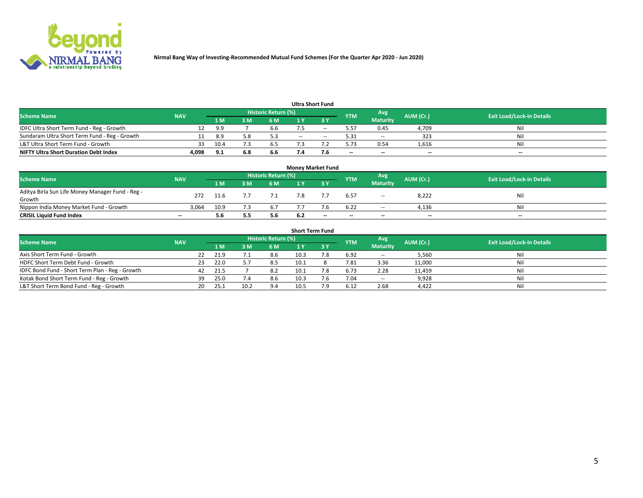

| <b>Ultra Short Fund</b>                       |            |      |     |                     |     |     |            |                 |           |                                  |  |  |  |  |
|-----------------------------------------------|------------|------|-----|---------------------|-----|-----|------------|-----------------|-----------|----------------------------------|--|--|--|--|
| <b>Scheme Name</b>                            | <b>NAV</b> |      |     | Historic Return (%) |     |     | <b>YTM</b> | Avg             | AUM (Cr.) | <b>Exit Load/Lock-in Details</b> |  |  |  |  |
|                                               |            | 1 M  | м   | 6 M                 |     | י כ |            | <b>Maturity</b> |           |                                  |  |  |  |  |
| IDFC Ultra Short Term Fund - Reg - Growth     |            | 9.9  |     | 6.6                 |     | --  | 5.57       | 0.45            | 4,709     | Nil                              |  |  |  |  |
| Sundaram Ultra Short Term Fund - Reg - Growth |            | 8.9  |     | 5.3                 | $-$ | $-$ | 5.31       | $\sim$          | 323       | Nil                              |  |  |  |  |
| L&T Ultra Short Term Fund - Growth            | 33         | 10.4 |     | 6.5                 |     |     | 5.73       | 0.54            | 1,616     | Nil                              |  |  |  |  |
| <b>NIFTY Ultra Short Duration Debt Index</b>  | 4,098      | 9.1  | 6.8 | 6.6                 |     | 7.b | $-$        | $-$             | $-$       | $-$                              |  |  |  |  |

| <b>Money Market Fund</b>                         |            |      |     |                            |     |     |            |                 |           |                                  |  |  |  |  |
|--------------------------------------------------|------------|------|-----|----------------------------|-----|-----|------------|-----------------|-----------|----------------------------------|--|--|--|--|
| <b>Scheme Name</b>                               | <b>NAV</b> |      |     | <b>Historic Return (%)</b> |     |     | <b>YTM</b> | Avg             | AUM (Cr.) | <b>Exit Load/Lock-in Details</b> |  |  |  |  |
|                                                  |            | 1 M  | 3 M | 6 M                        |     | י כ |            | <b>Maturity</b> |           |                                  |  |  |  |  |
| Aditya Birla Sun Life Money Manager Fund - Reg - | 272        | 11.6 |     |                            |     |     | 6.57       |                 | 8,222     | Nil                              |  |  |  |  |
| Growth                                           |            |      |     |                            |     |     |            | $\sim$          |           |                                  |  |  |  |  |
| Nippon India Money Market Fund - Growth          | 3.064      | 10.9 |     | 6.7                        |     |     | 6.22       | $- -$           | 4,136     | Nil                              |  |  |  |  |
| <b>CRISIL Liquid Fund Index</b>                  | $- -$      | 5.6  | 5.5 | 5.6                        | 6.2 | --  | $-$        | $- -$           | $-$       | $-$                              |  |  |  |  |

| <b>Short Term Fund</b>                          |            |     |      |      |                            |      |     |            |                          |           |                                  |  |  |
|-------------------------------------------------|------------|-----|------|------|----------------------------|------|-----|------------|--------------------------|-----------|----------------------------------|--|--|
| <b>Scheme Name</b>                              | <b>NAV</b> |     |      |      | <b>Historic Return (%)</b> |      |     | <b>YTM</b> | Avg                      | AUM (Cr.) | <b>Exit Load/Lock-in Details</b> |  |  |
|                                                 |            |     |      | 3 M  | 6 M                        |      |     |            | <b>Maturity</b>          |           |                                  |  |  |
| Axis Short Term Fund - Growth                   |            | 22  | 21.9 |      | 8.6                        | 10.3 | '.8 | 6.92       | $\overline{\phantom{a}}$ | 5,560     | Nil                              |  |  |
| HDFC Short Term Debt Fund - Growth              |            | 23. | 22.0 |      | 8.5                        | 10.1 |     | 7.81       | 3.36                     | 11,000    | Nil                              |  |  |
| IDFC Bond Fund - Short Term Plan - Reg - Growth |            | 42  | 21.5 |      | 8.2                        | 10.1 | 7.8 | 6.73       | 2.28                     | 11,459    | Nil                              |  |  |
| Kotak Bond Short Term Fund - Reg - Growth       |            | 39  | 25.0 | 7.4  | 8.6                        | 10.3 | 7.6 | 7.04       | $\sim$                   | 9,928     | Nil                              |  |  |
| L&T Short Term Bond Fund - Reg - Growth         |            | 20. | 25.1 | 10.2 | 9.4                        |      | ۰.9 | 6.12       | 2.68                     | 4,422     | Nil                              |  |  |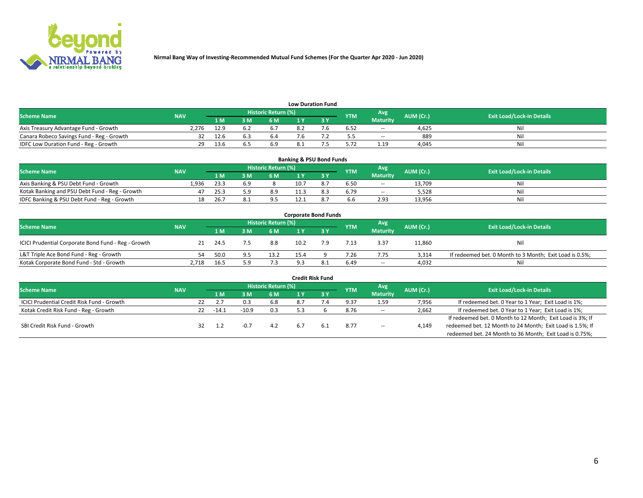

| <b>Low Duration Fund</b>                  |            |       |     |                            |  |     |            |                 |           |                                  |  |  |  |  |
|-------------------------------------------|------------|-------|-----|----------------------------|--|-----|------------|-----------------|-----------|----------------------------------|--|--|--|--|
| <b>Scheme Name</b>                        | <b>NAV</b> |       |     | <b>Historic Return (%)</b> |  |     | <b>YTM</b> | Avg             | AUM (Cr.) | <b>Exit Load/Lock-in Details</b> |  |  |  |  |
|                                           |            | 1 M . | 3 M | 6 M                        |  | י פ |            | <b>Maturity</b> |           |                                  |  |  |  |  |
| Axis Treasury Advantage Fund - Growth     | 2.276      | 12.9  |     |                            |  |     | 6.52       | $\sim$          | 4.625     | Nil                              |  |  |  |  |
| Canara Robeco Savings Fund - Reg - Growth |            | 12.6  |     | b.4                        |  |     |            | $\sim$          | 889       | Nil                              |  |  |  |  |
| IDFC Low Duration Fund - Reg - Growth     | 29         | 13.6  |     | 6.9                        |  |     | 5.72       | 1.19            | 4.045     | Nil                              |  |  |  |  |

| <b>Banking &amp; PSU Bond Funds</b>            |            |      |     |                     |      |  |            |                 |           |                                  |  |  |  |
|------------------------------------------------|------------|------|-----|---------------------|------|--|------------|-----------------|-----------|----------------------------------|--|--|--|
| <b>Scheme Name</b>                             | <b>NAV</b> |      |     | Historic Return (%) |      |  | <b>YTM</b> | Avg             | AUM (Cr.) | <b>Exit Load/Lock-in Details</b> |  |  |  |
|                                                |            | 1 M  | 3 M | 6 M                 |      |  |            | <b>Maturity</b> |           |                                  |  |  |  |
| Axis Banking & PSU Debt Fund - Growth          | 1.936      | 23.3 | ςq  |                     | 10.7 |  | 6.50       | $\sim$          | 13.709    | Nil                              |  |  |  |
| Kotak Banking and PSU Debt Fund - Reg - Growth |            | 25.3 |     | 8.9                 |      |  | 6.79       | $\sim$          | 5.528     | Nil                              |  |  |  |
| IDFC Banking & PSU Debt Fund - Reg - Growth    | 18         | 26.  |     | 9.5                 |      |  | 6.6        | 2.93            | 13,956    | Nil                              |  |  |  |

| <b>Corporate Bond Funds</b>                         |            |      |     |                     |      |      |            |                          |           |                                                         |  |  |  |  |
|-----------------------------------------------------|------------|------|-----|---------------------|------|------|------------|--------------------------|-----------|---------------------------------------------------------|--|--|--|--|
| <b>Scheme Name</b>                                  | <b>NAV</b> |      |     | Historic Return (%) |      |      | <b>YTM</b> | Avg                      | AUM (Cr.) | <b>Exit Load/Lock-in Details</b>                        |  |  |  |  |
|                                                     |            | 1 M  |     | 6 M                 |      |      |            | <b>Maturity</b>          |           |                                                         |  |  |  |  |
| ICICI Prudential Corporate Bond Fund - Reg - Growth | 21         | 24.5 |     | 8.8                 | 10.2 |      | 7.13       | 3.37                     | 11,860    | Nil                                                     |  |  |  |  |
| L&T Triple Ace Bond Fund - Reg - Growth             | 54.        | 50.0 |     | 13.2                | 15.4 |      | 7.26       | 7.75                     | 3.314     | If redeemed bet. 0 Month to 3 Month; Exit Load is 0.5%; |  |  |  |  |
| Kotak Corporate Bond Fund - Std - Growth            | 2,718      | 16.5 | ; q | 7.3                 | 9.3  | -8.1 | 6.49       | $\overline{\phantom{a}}$ | 4,032     | Nil                                                     |  |  |  |  |

| <b>Credit Risk Fund</b>                    |            |    |         |         |                            |     |     |            |                 |           |                                                           |  |  |
|--------------------------------------------|------------|----|---------|---------|----------------------------|-----|-----|------------|-----------------|-----------|-----------------------------------------------------------|--|--|
| <b>Scheme Name</b>                         | <b>NAV</b> |    |         |         | <b>Historic Return (%)</b> |     |     | <b>YTM</b> | Avg             | AUM (Cr.) | <b>Exit Load/Lock-in Details</b>                          |  |  |
|                                            |            |    |         | 3 M     | 6 M                        |     | 3 Y |            | <b>Maturity</b> |           |                                                           |  |  |
| ICICI Prudential Credit Risk Fund - Growth |            | 22 |         |         | 6.8                        | 8.7 |     | 9.37       | 1.59            | 7,956     | If redeemed bet. 0 Year to 1 Year; Exit Load is 1%;       |  |  |
| Kotak Credit Risk Fund - Reg - Growth      |            | 22 | $-14.1$ | $-10.9$ | 0.3                        |     |     | 8.76       | $\sim$          | 2,662     | If redeemed bet. 0 Year to 1 Year; Exit Load is 1%;       |  |  |
|                                            |            |    |         |         |                            |     |     |            |                 |           | If redeemed bet. 0 Month to 12 Month; Exit Load is 3%; If |  |  |
| SBI Credit Risk Fund - Growth              |            |    |         |         | 4.2                        | b.7 | 6.1 | 8.77       | $\sim$          | 4,149     | redeemed bet. 12 Month to 24 Month; Exit Load is 1.5%; If |  |  |
|                                            |            |    |         |         |                            |     |     |            |                 |           | redeemed bet. 24 Month to 36 Month; Exit Load is 0.75%;   |  |  |